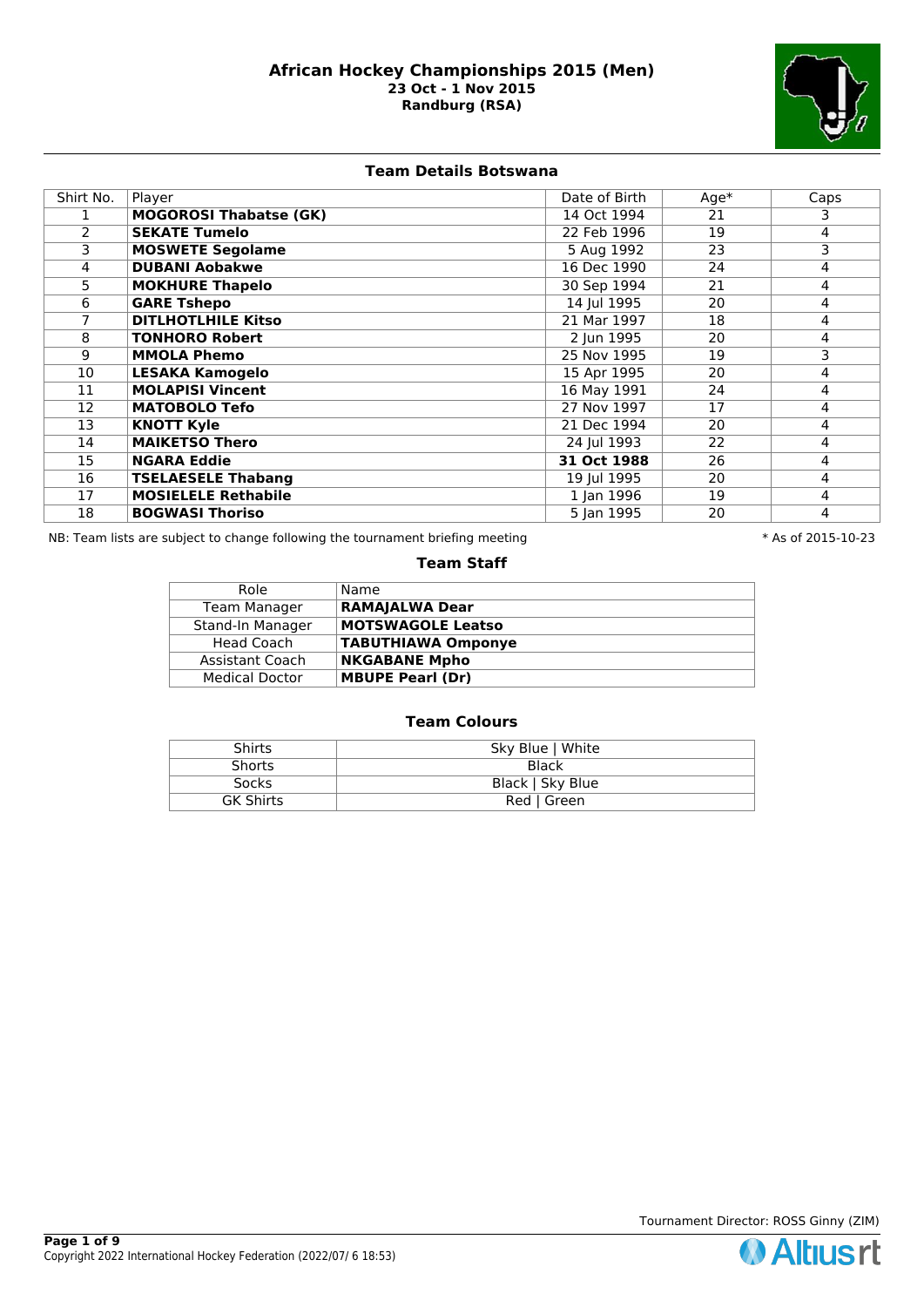

**Team Details Botswana**

| Shirt No. | Player                        | Date of Birth | $Age*$ | Caps |
|-----------|-------------------------------|---------------|--------|------|
|           | <b>MOGOROSI Thabatse (GK)</b> | 14 Oct 1994   | 21     | 3.   |
| 2         | <b>SEKATE Tumelo</b>          | 22 Feb 1996   | 19     | 4    |
| 3         | <b>MOSWETE Segolame</b>       | 5 Aug 1992    | 23     | 3    |
| 4         | <b>DUBANI Aobakwe</b>         | 16 Dec 1990   | 24     | 4    |
| 5         | <b>MOKHURE Thapelo</b>        | 30 Sep 1994   | 21     | 4    |
| 6         | <b>GARE Tshepo</b>            | 14 Jul 1995   | 20     | 4    |
|           | <b>DITLHOTLHILE Kitso</b>     | 21 Mar 1997   | 18     | 4    |
| 8         | <b>TONHORO Robert</b>         | 2 Jun 1995    | 20     | 4    |
| 9         | <b>MMOLA Phemo</b>            | 25 Nov 1995   | 19     | 3    |
| 10        | <b>LESAKA Kamogelo</b>        | 15 Apr 1995   | 20     | 4    |
| 11        | <b>MOLAPISI Vincent</b>       | 16 May 1991   | 24     | 4    |
| 12        | <b>MATOBOLO Tefo</b>          | 27 Nov 1997   | 17     | 4    |
| 13        | <b>KNOTT Kyle</b>             | 21 Dec 1994   | 20     | 4    |
| 14        | <b>MAIKETSO Thero</b>         | 24 Jul 1993   | 22     | 4    |
| 15        | <b>NGARA Eddie</b>            | 31 Oct 1988   | 26     | 4    |
| 16        | <b>TSELAESELE Thabang</b>     | 19 Jul 1995   | 20     | 4    |
| 17        | <b>MOSIELELE Rethabile</b>    | 1 Jan 1996    | 19     | 4    |
| 18        | <b>BOGWASI Thoriso</b>        | 5 Jan 1995    | 20     | 4    |

NB: Team lists are subject to change following the tournament briefing meeting **the substandal to the 10-23** \* As of 2015-10-23

## **Team Staff**

| Role                  | Name                      |
|-----------------------|---------------------------|
| <b>Team Manager</b>   | <b>RAMAJALWA Dear</b>     |
| Stand-In Manager      | <b>MOTSWAGOLE Leatso</b>  |
| Head Coach            | <b>TABUTHIAWA Omponye</b> |
| Assistant Coach       | <b>NKGABANE Mpho</b>      |
| <b>Medical Doctor</b> | <b>MBUPE Pearl (Dr)</b>   |

| Shirts           | Sky Blue   White |
|------------------|------------------|
| <b>Shorts</b>    | Black            |
| <b>Socks</b>     | Black   Sky Blue |
| <b>GK Shirts</b> | Red   Green      |

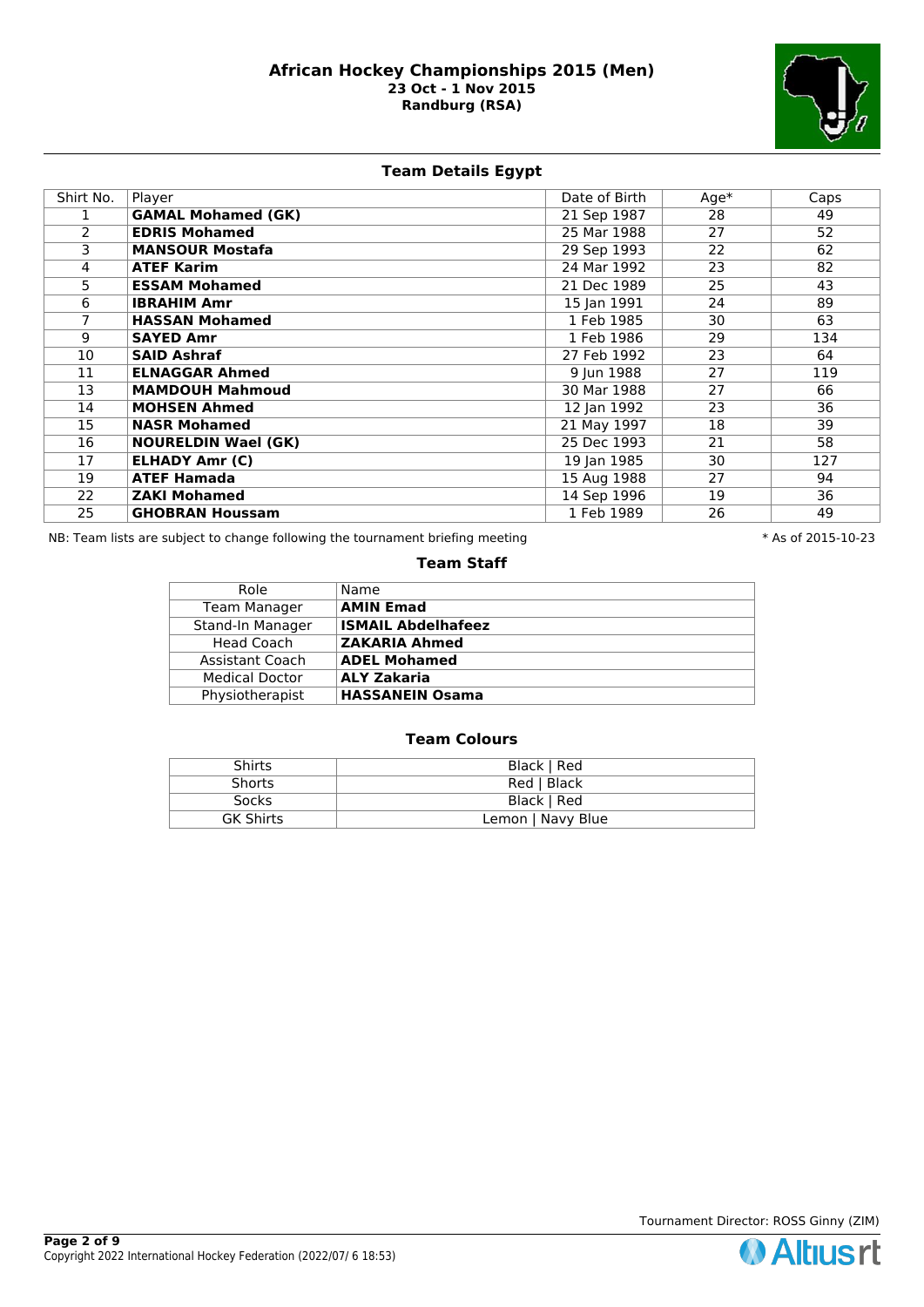

# **Team Details Egypt**

| Shirt No. | Player                     | Date of Birth | $Age*$ | Caps |
|-----------|----------------------------|---------------|--------|------|
|           | <b>GAMAL Mohamed (GK)</b>  | 21 Sep 1987   | 28     | 49   |
| 2         | <b>EDRIS Mohamed</b>       | 25 Mar 1988   | 27     | 52   |
| 3         | <b>MANSOUR Mostafa</b>     | 29 Sep 1993   | 22     | 62   |
| 4         | <b>ATEF Karim</b>          | 24 Mar 1992   | 23     | 82   |
| 5.        | <b>ESSAM Mohamed</b>       | 21 Dec 1989   | 25     | 43   |
| 6         | <b>IBRAHIM Amr</b>         | 15 Jan 1991   | 24     | 89   |
|           | <b>HASSAN Mohamed</b>      | 1 Feb 1985    | 30     | 63   |
| 9         | <b>SAYED Amr</b>           | 1 Feb 1986    | 29     | 134  |
| 10        | <b>SAID Ashraf</b>         | 27 Feb 1992   | 23     | 64   |
| 11        | <b>ELNAGGAR Ahmed</b>      | 9 Jun 1988    | 27     | 119  |
| 13        | <b>MAMDOUH Mahmoud</b>     | 30 Mar 1988   | 27     | 66   |
| 14        | <b>MOHSEN Ahmed</b>        | 12 Jan 1992   | 23     | 36   |
| 15        | <b>NASR Mohamed</b>        | 21 May 1997   | 18     | 39   |
| 16        | <b>NOURELDIN Wael (GK)</b> | 25 Dec 1993   | 21     | 58   |
| 17        | <b>ELHADY Amr (C)</b>      | 19 Jan 1985   | 30     | 127  |
| 19        | <b>ATEF Hamada</b>         | 15 Aug 1988   | 27     | 94   |
| 22        | <b>ZAKI Mohamed</b>        | 14 Sep 1996   | 19     | 36   |
| 25        | <b>GHOBRAN Houssam</b>     | 1 Feb 1989    | 26     | 49   |

NB: Team lists are subject to change following the tournament briefing meeting **the substandal to the 10-23** \* As of 2015-10-23

#### **Team Staff**

| Role                  | Name                      |
|-----------------------|---------------------------|
| <b>Team Manager</b>   | <b>AMIN Emad</b>          |
| Stand-In Manager      | <b>ISMAIL Abdelhafeez</b> |
| Head Coach            | <b>ZAKARIA Ahmed</b>      |
| Assistant Coach       | <b>ADEL Mohamed</b>       |
| <b>Medical Doctor</b> | <b>ALY Zakaria</b>        |
| Physiotherapist       | <b>HASSANEIN Osama</b>    |

| <b>Shirts</b>    | Black   Red       |
|------------------|-------------------|
| Shorts           | Red   Black       |
| <b>Socks</b>     | Black   Red       |
| <b>GK Shirts</b> | Lemon   Navy Blue |

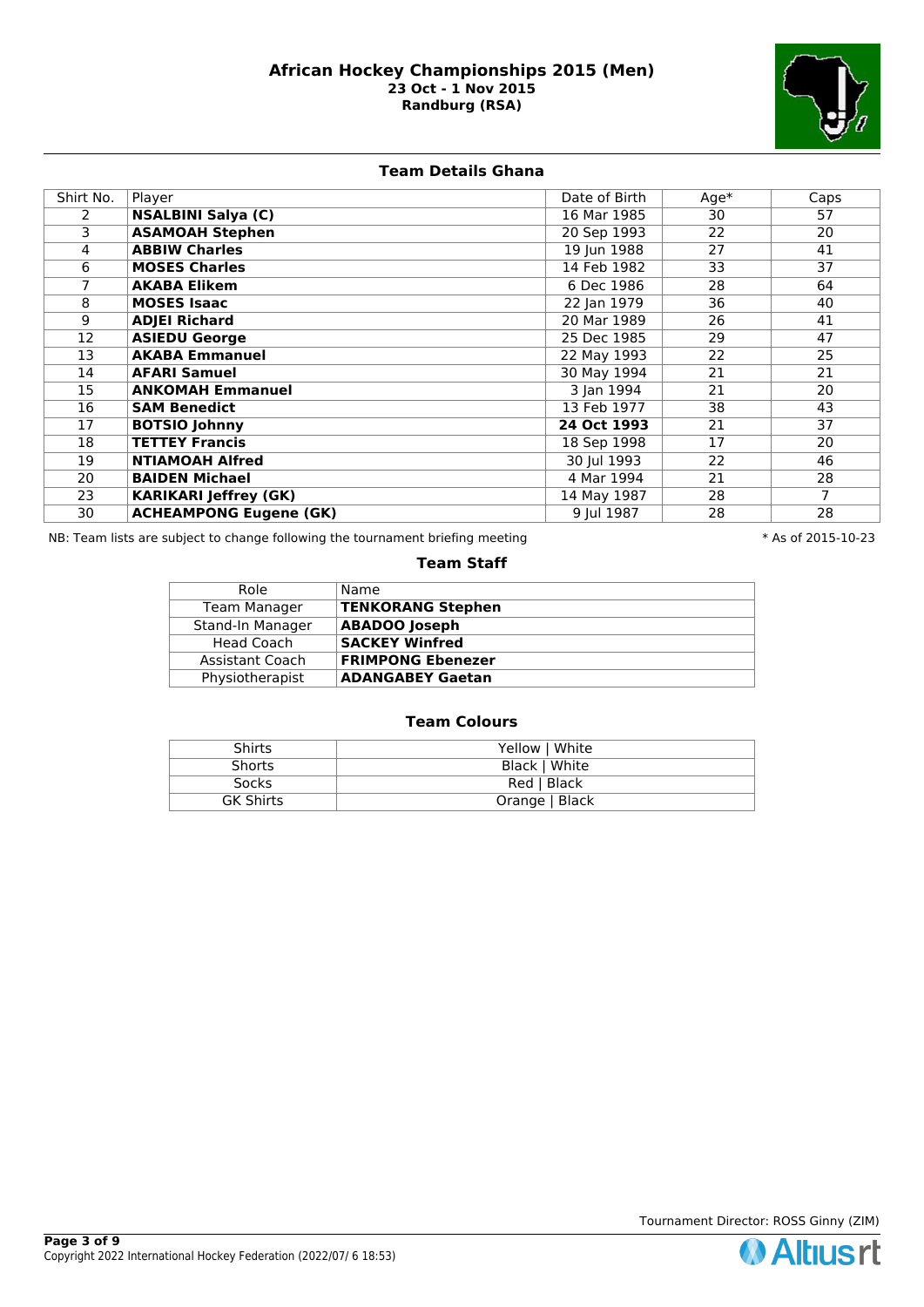

# **Team Details Ghana**

| Shirt No. | Player                        | Date of Birth | $Age*$ | Caps |
|-----------|-------------------------------|---------------|--------|------|
| 2         | <b>NSALBINI Salya (C)</b>     | 16 Mar 1985   | 30     | 57   |
| 3         | <b>ASAMOAH Stephen</b>        | 20 Sep 1993   | 22     | 20   |
| 4         | <b>ABBIW Charles</b>          | 19 Jun 1988   | 27     | 41   |
| 6         | <b>MOSES Charles</b>          | 14 Feb 1982   | 33     | 37   |
|           | <b>AKABA Elikem</b>           | 6 Dec 1986    | 28     | 64   |
| 8         | <b>MOSES Isaac</b>            | 22 Jan 1979   | 36     | 40   |
| 9         | <b>ADJEI Richard</b>          | 20 Mar 1989   | 26     | 41   |
| 12        | <b>ASIEDU George</b>          | 25 Dec 1985   | 29     | 47   |
| 13        | <b>AKABA Emmanuel</b>         | 22 May 1993   | 22     | 25   |
| 14        | <b>AFARI Samuel</b>           | 30 May 1994   | 21     | 21   |
| 15        | <b>ANKOMAH Emmanuel</b>       | 3 Jan 1994    | 21     | 20   |
| 16        | <b>SAM Benedict</b>           | 13 Feb 1977   | 38     | 43   |
| 17        | <b>BOTSIO Johnny</b>          | 24 Oct 1993   | 21     | 37   |
| 18        | <b>TETTEY Francis</b>         | 18 Sep 1998   | 17     | 20   |
| 19        | <b>NTIAMOAH Alfred</b>        | 30 Jul 1993   | 22     | 46   |
| 20        | <b>BAIDEN Michael</b>         | 4 Mar 1994    | 21     | 28   |
| 23        | <b>KARIKARI Jeffrey (GK)</b>  | 14 May 1987   | 28     | 7    |
| 30        | <b>ACHEAMPONG Eugene (GK)</b> | 9 Jul 1987    | 28     | 28   |

NB: Team lists are subject to change following the tournament briefing meeting **the substandal to the 10-23** \* As of 2015-10-23

# **Team Staff**

| Role                | Name                     |
|---------------------|--------------------------|
| <b>Team Manager</b> | <b>TENKORANG Stephen</b> |
| Stand-In Manager    | <b>ABADOO Joseph</b>     |
| Head Coach          | <b>SACKEY Winfred</b>    |
| Assistant Coach     | <b>FRIMPONG Ebenezer</b> |
| Physiotherapist     | <b>ADANGABEY Gaetan</b>  |

| <b>Shirts</b>    | Yellow   White |
|------------------|----------------|
| <b>Shorts</b>    | Black   White  |
| <b>Socks</b>     | Red   Black    |
| <b>GK Shirts</b> | Orange   Black |

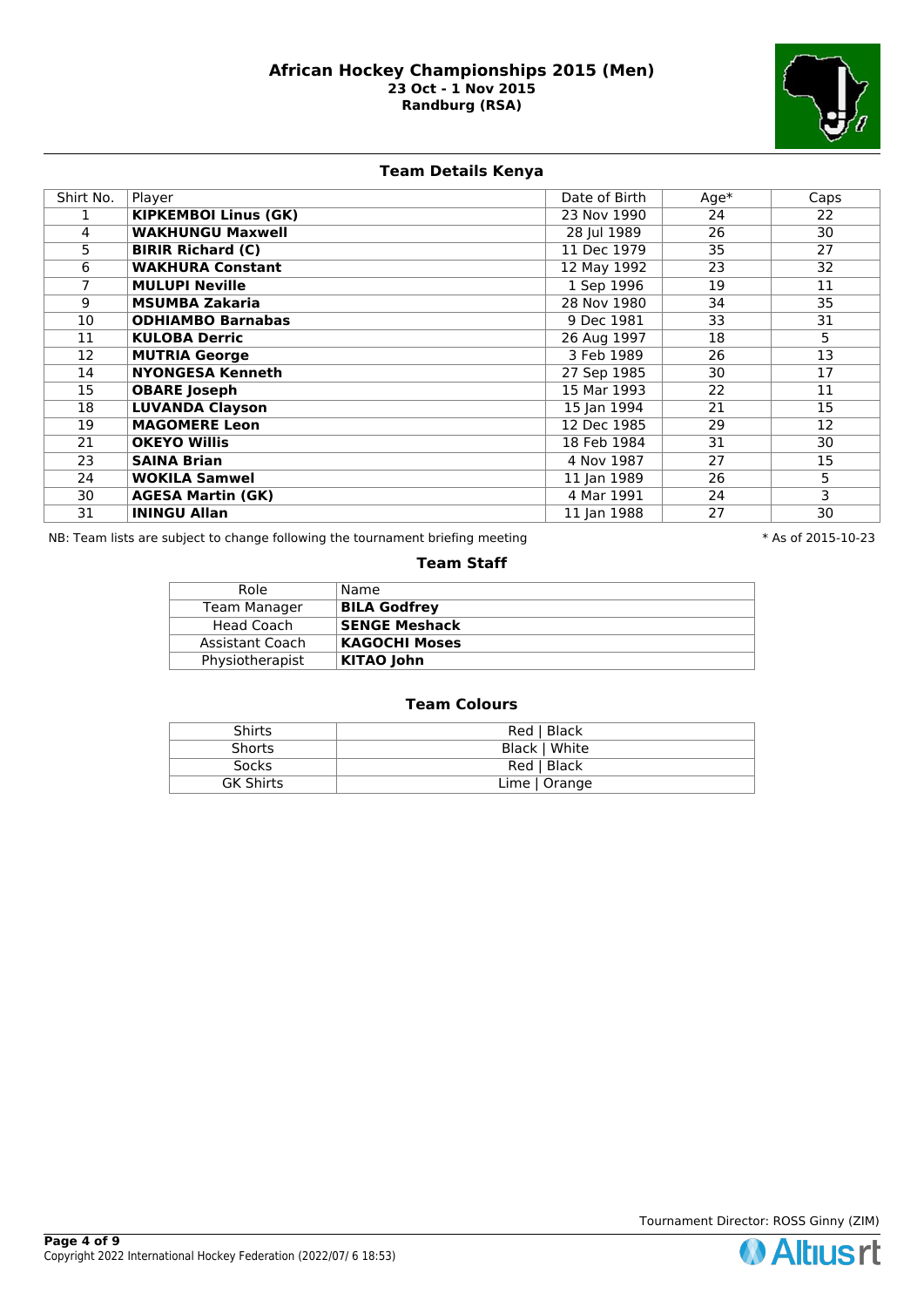

# **Team Details Kenya**

| Shirt No. | Player                      | Date of Birth | $Age*$ | Caps |
|-----------|-----------------------------|---------------|--------|------|
|           | <b>KIPKEMBOI Linus (GK)</b> | 23 Nov 1990   | 24     | 22   |
| 4         | <b>WAKHUNGU Maxwell</b>     | 28 Jul 1989   | 26     | 30   |
| 5.        | <b>BIRIR Richard (C)</b>    | 11 Dec 1979   | 35     | 27   |
| 6         | <b>WAKHURA Constant</b>     | 12 May 1992   | 23     | 32   |
|           | <b>MULUPI Neville</b>       | 1 Sep 1996    | 19     | 11   |
| 9         | <b>MSUMBA Zakaria</b>       | 28 Nov 1980   | 34     | 35   |
| 10        | <b>ODHIAMBO Barnabas</b>    | 9 Dec 1981    | 33     | 31   |
| 11        | <b>KULOBA Derric</b>        | 26 Aug 1997   | 18     | 5    |
| 12        | <b>MUTRIA George</b>        | 3 Feb 1989    | 26     | 13   |
| 14        | <b>NYONGESA Kenneth</b>     | 27 Sep 1985   | 30     | 17   |
| 15        | <b>OBARE</b> Joseph         | 15 Mar 1993   | 22     | 11   |
| 18        | <b>LUVANDA Clayson</b>      | 15 Jan 1994   | 21     | 15   |
| 19        | <b>MAGOMERE Leon</b>        | 12 Dec 1985   | 29     | 12   |
| 21        | <b>OKEYO Willis</b>         | 18 Feb 1984   | 31     | 30   |
| 23        | <b>SAINA Brian</b>          | 4 Nov 1987    | 27     | 15   |
| 24        | <b>WOKILA Samwel</b>        | 11 Jan 1989   | 26     | 5    |
| 30        | <b>AGESA Martin (GK)</b>    | 4 Mar 1991    | 24     | 3    |
| 31        | <b>ININGU Allan</b>         | 11 Jan 1988   | 27     | 30   |

NB: Team lists are subject to change following the tournament briefing meeting  $* A s$  of 2015-10-23

#### **Team Staff**

| Role            | Name                 |
|-----------------|----------------------|
| Team Manager    | <b>BILA Godfrey</b>  |
| Head Coach      | <b>SENGE Meshack</b> |
| Assistant Coach | <b>KAGOCHI Moses</b> |
| Physiotherapist | <b>KITAO John</b>    |

| <b>Shirts</b>    | Red   Black   |
|------------------|---------------|
| <b>Shorts</b>    | Black   White |
| <b>Socks</b>     | Red   Black   |
| <b>GK Shirts</b> | Lime   Orange |

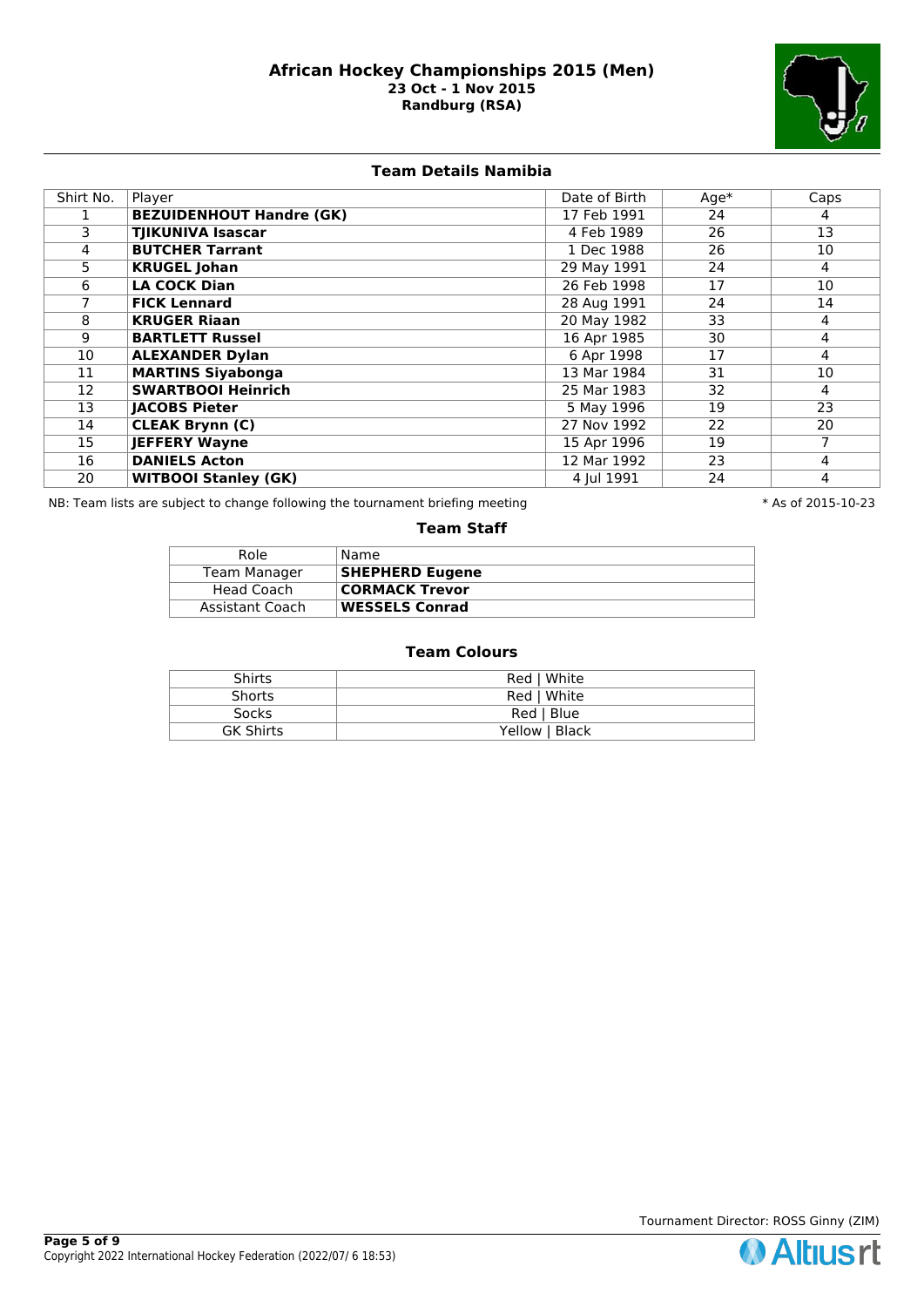

# **Team Details Namibia**

| Shirt No. | Player                          | Date of Birth | $Age*$ | Caps |
|-----------|---------------------------------|---------------|--------|------|
|           | <b>BEZUIDENHOUT Handre (GK)</b> | 17 Feb 1991   | 24     | 4    |
| 3         | <b>TJIKUNIVA Isascar</b>        | 4 Feb 1989    | 26     | 13   |
| 4         | <b>BUTCHER Tarrant</b>          | 1 Dec 1988    | 26     | 10   |
| 5         | <b>KRUGEL Johan</b>             | 29 May 1991   | 24     | 4    |
| 6         | <b>LA COCK Dian</b>             | 26 Feb 1998   | 17     | 10   |
|           | <b>FICK Lennard</b>             | 28 Aug 1991   | 24     | 14   |
| 8         | <b>KRUGER Riaan</b>             | 20 May 1982   | 33     | 4    |
| 9         | <b>BARTLETT Russel</b>          | 16 Apr 1985   | 30     | 4    |
| 10        | <b>ALEXANDER Dylan</b>          | 6 Apr 1998    | 17     | 4    |
| 11        | <b>MARTINS Siyabonga</b>        | 13 Mar 1984   | 31     | 10   |
| 12        | <b>SWARTBOOI Heinrich</b>       | 25 Mar 1983   | 32     | 4    |
| 13        | <b>JACOBS Pieter</b>            | 5 May 1996    | 19     | 23   |
| 14        | <b>CLEAK Brynn (C)</b>          | 27 Nov 1992   | 22     | 20   |
| 15        | <b>JEFFERY Wayne</b>            | 15 Apr 1996   | 19     | 7    |
| 16        | <b>DANIELS Acton</b>            | 12 Mar 1992   | 23     | 4    |
| 20        | <b>WITBOOI Stanley (GK)</b>     | 4 Jul 1991    | 24     | 4    |

NB: Team lists are subject to change following the tournament briefing meeting **the subset of 2015-10-23** \* As of 2015-10-23

#### **Team Staff**

| Role            | Name                   |
|-----------------|------------------------|
| Team Manager    | <b>SHEPHERD Eugene</b> |
| Head Coach      | <b>CORMACK Trevor</b>  |
| Assistant Coach | <b>WESSELS Conrad</b>  |

| Shirts           | Red   White    |
|------------------|----------------|
| <b>Shorts</b>    | Red   White    |
| <b>Socks</b>     | Red   Blue     |
| <b>GK Shirts</b> | Yellow   Black |

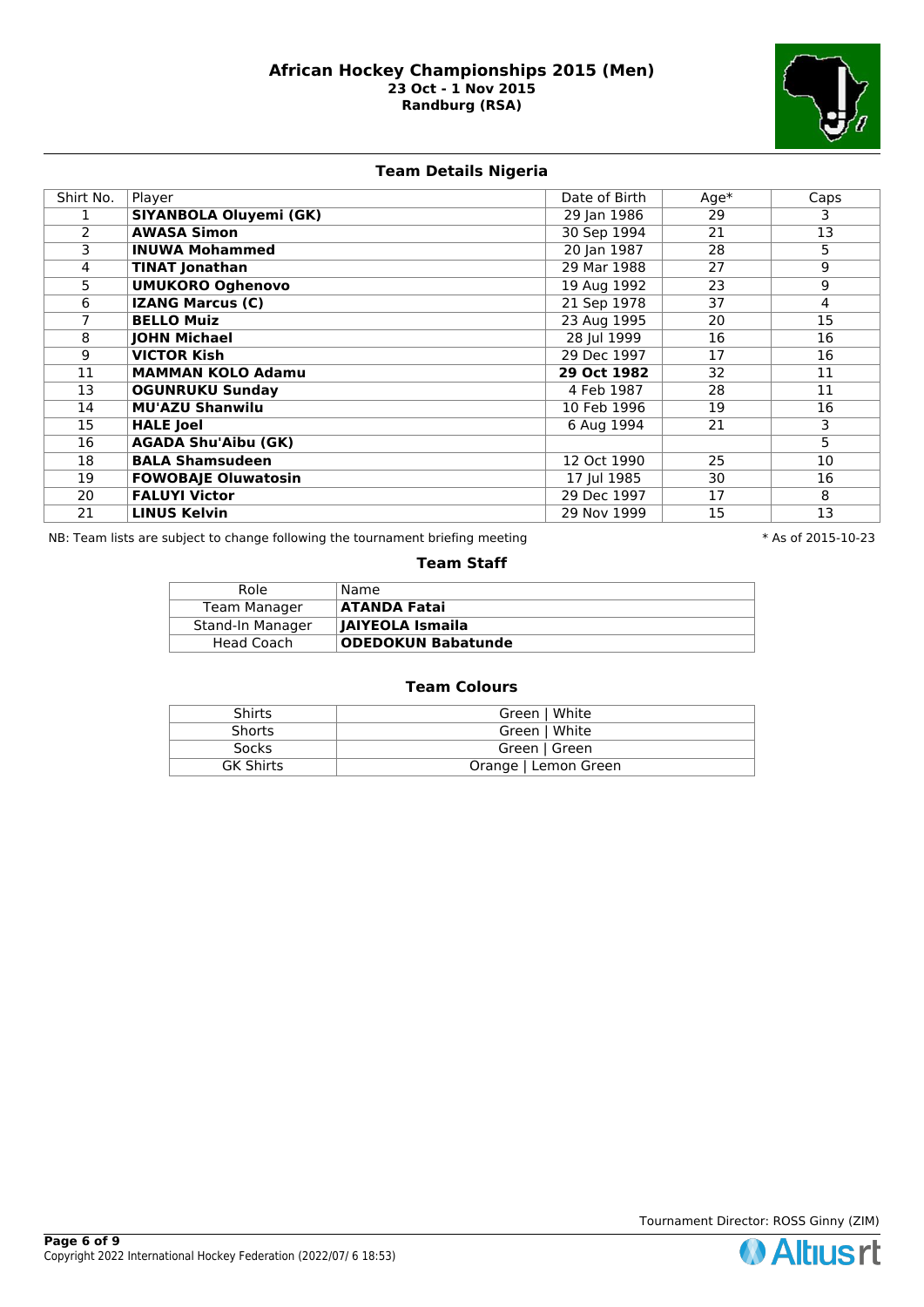

# **Team Details Nigeria**

| Shirt No. | Player                        | Date of Birth | $Age*$ | Caps            |
|-----------|-------------------------------|---------------|--------|-----------------|
|           | <b>SIYANBOLA Oluyemi (GK)</b> | 29 Jan 1986   | 29     | 3.              |
| 2         | <b>AWASA Simon</b>            | 30 Sep 1994   | 21     | $\overline{13}$ |
| 3         | <b>INUWA Mohammed</b>         | 20 Jan 1987   | 28     | 5               |
| 4         | <b>TINAT Jonathan</b>         | 29 Mar 1988   | 27     | 9               |
| 5.        | <b>UMUKORO Oghenovo</b>       | 19 Aug 1992   | 23     | 9               |
| 6         | <b>IZANG Marcus (C)</b>       | 21 Sep 1978   | 37     | $\overline{4}$  |
|           | <b>BELLO Muiz</b>             | 23 Aug 1995   | 20     | 15              |
| 8         | <b>JOHN Michael</b>           | 28 Jul 1999   | 16     | 16              |
| 9         | <b>VICTOR Kish</b>            | 29 Dec 1997   | 17     | 16              |
| 11        | <b>MAMMAN KOLO Adamu</b>      | 29 Oct 1982   | 32     | 11              |
| 13        | <b>OGUNRUKU Sunday</b>        | 4 Feb 1987    | 28     | 11              |
| 14        | <b>MU'AZU Shanwilu</b>        | 10 Feb 1996   | 19     | 16              |
| 15        | <b>HALE Joel</b>              | 6 Aug 1994    | 21     | 3               |
| 16        | <b>AGADA Shu'Aibu (GK)</b>    |               |        | $\overline{5}$  |
| 18        | <b>BALA Shamsudeen</b>        | 12 Oct 1990   | 25     | 10              |
| 19        | <b>FOWOBAJE Oluwatosin</b>    | 17 Jul 1985   | 30     | 16              |
| 20        | <b>FALUYI Victor</b>          | 29 Dec 1997   | 17     | 8               |
| 21        | <b>LINUS Kelvin</b>           | 29 Nov 1999   | 15     | 13              |

NB: Team lists are subject to change following the tournament briefing meeting  $* A s$  of 2015-10-23

#### **Team Staff**

| Role             | Name                      |
|------------------|---------------------------|
| Team Manager     | <b>ATANDA Fatai</b>       |
| Stand-In Manager | JAIYEOLA Ismaila          |
| Head Coach       | <b>ODEDOKUN Babatunde</b> |

| <b>Shirts</b>    | Green   White        |
|------------------|----------------------|
| <b>Shorts</b>    | Green   White        |
| <b>Socks</b>     | Green   Green        |
| <b>GK Shirts</b> | Orange   Lemon Green |

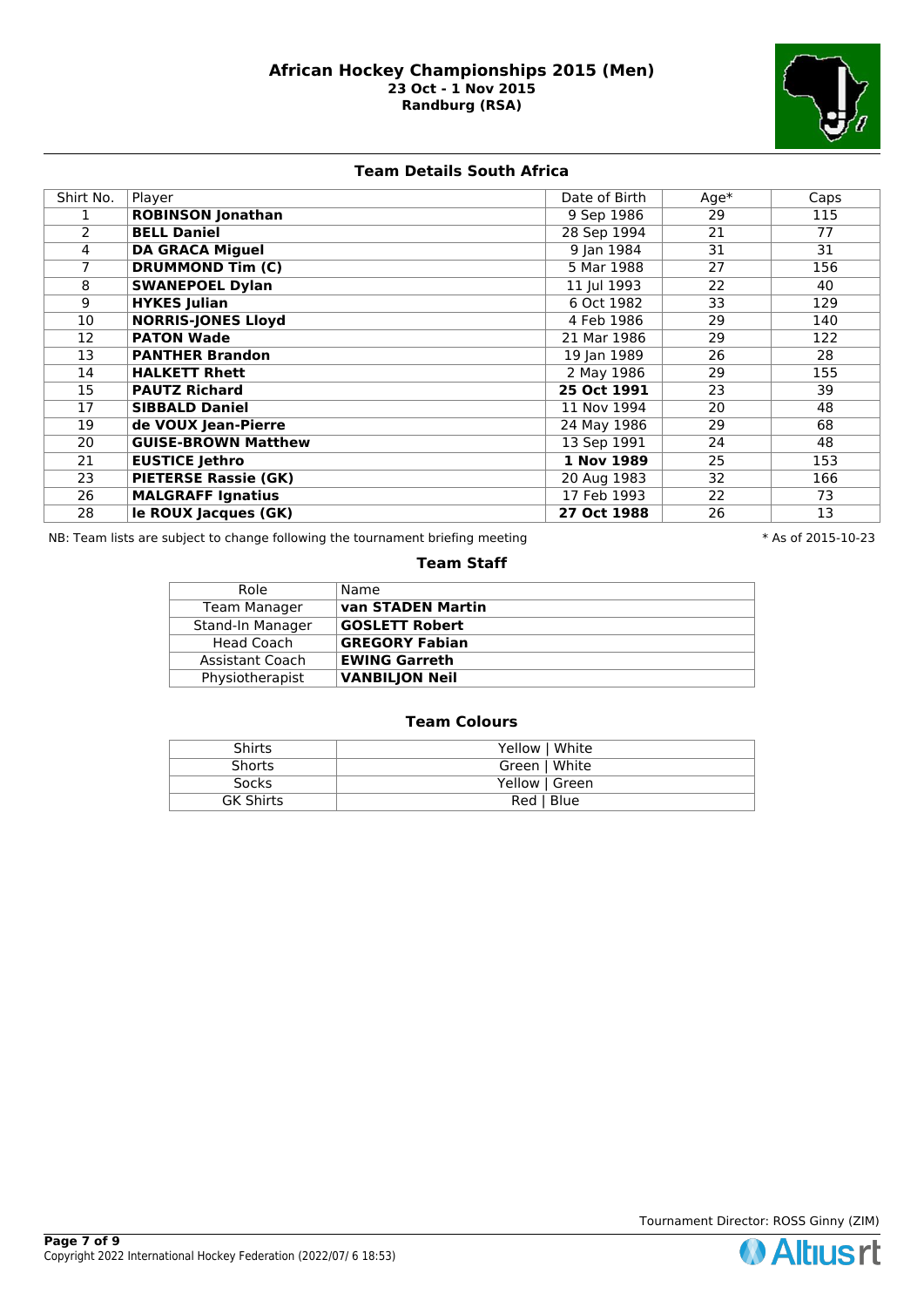

**Team Details South Africa**

| Shirt No. | Player                      | Date of Birth | $Age*$ | Caps |
|-----------|-----------------------------|---------------|--------|------|
|           | <b>ROBINSON Jonathan</b>    | 9 Sep 1986    | 29     | 115  |
| 2         | <b>BELL Daniel</b>          | 28 Sep 1994   | 21     | 77   |
| 4         | <b>DA GRACA Miguel</b>      | 9 Jan 1984    | 31     | 31   |
|           | <b>DRUMMOND Tim (C)</b>     | 5 Mar 1988    | 27     | 156  |
| 8         | <b>SWANEPOEL Dylan</b>      | 11 Jul 1993   | 22     | 40   |
| 9         | <b>HYKES Julian</b>         | 6 Oct 1982    | 33     | 129  |
| 10        | <b>NORRIS-JONES Lloyd</b>   | 4 Feb 1986    | 29     | 140  |
| 12        | <b>PATON Wade</b>           | 21 Mar 1986   | 29     | 122  |
| 13        | <b>PANTHER Brandon</b>      | 19 Jan 1989   | 26     | 28   |
| 14        | <b>HALKETT Rhett</b>        | 2 May 1986    | 29     | 155  |
| 15        | <b>PAUTZ Richard</b>        | 25 Oct 1991   | 23     | 39   |
| 17        | <b>SIBBALD Daniel</b>       | 11 Nov 1994   | 20     | 48   |
| 19        | de VOUX Jean-Pierre         | 24 May 1986   | 29     | 68   |
| 20        | <b>GUISE-BROWN Matthew</b>  | 13 Sep 1991   | 24     | 48   |
| 21        | <b>EUSTICE Jethro</b>       | 1 Nov 1989    | 25     | 153  |
| 23        | <b>PIETERSE Rassie (GK)</b> | 20 Aug 1983   | 32     | 166  |
| 26        | <b>MALGRAFF Ignatius</b>    | 17 Feb 1993   | 22     | 73   |
| 28        | le ROUX Jacques (GK)        | 27 Oct 1988   | 26     | 13   |

NB: Team lists are subject to change following the tournament briefing meeting **the substandal to the 10-23** \* As of 2015-10-23

## **Team Staff**

| Role              | Name                  |
|-------------------|-----------------------|
| Team Manager      | van STADEN Martin     |
| Stand-In Manager  | <b>GOSLETT Robert</b> |
| <b>Head Coach</b> | <b>GREGORY Fabian</b> |
| Assistant Coach   | <b>EWING Garreth</b>  |
| Physiotherapist   | <b>VANBILJON Neil</b> |

| Shirts           | Yellow   White |
|------------------|----------------|
| <b>Shorts</b>    | Green   White  |
| Socks            | Yellow   Green |
| <b>GK Shirts</b> | Red   Blue     |



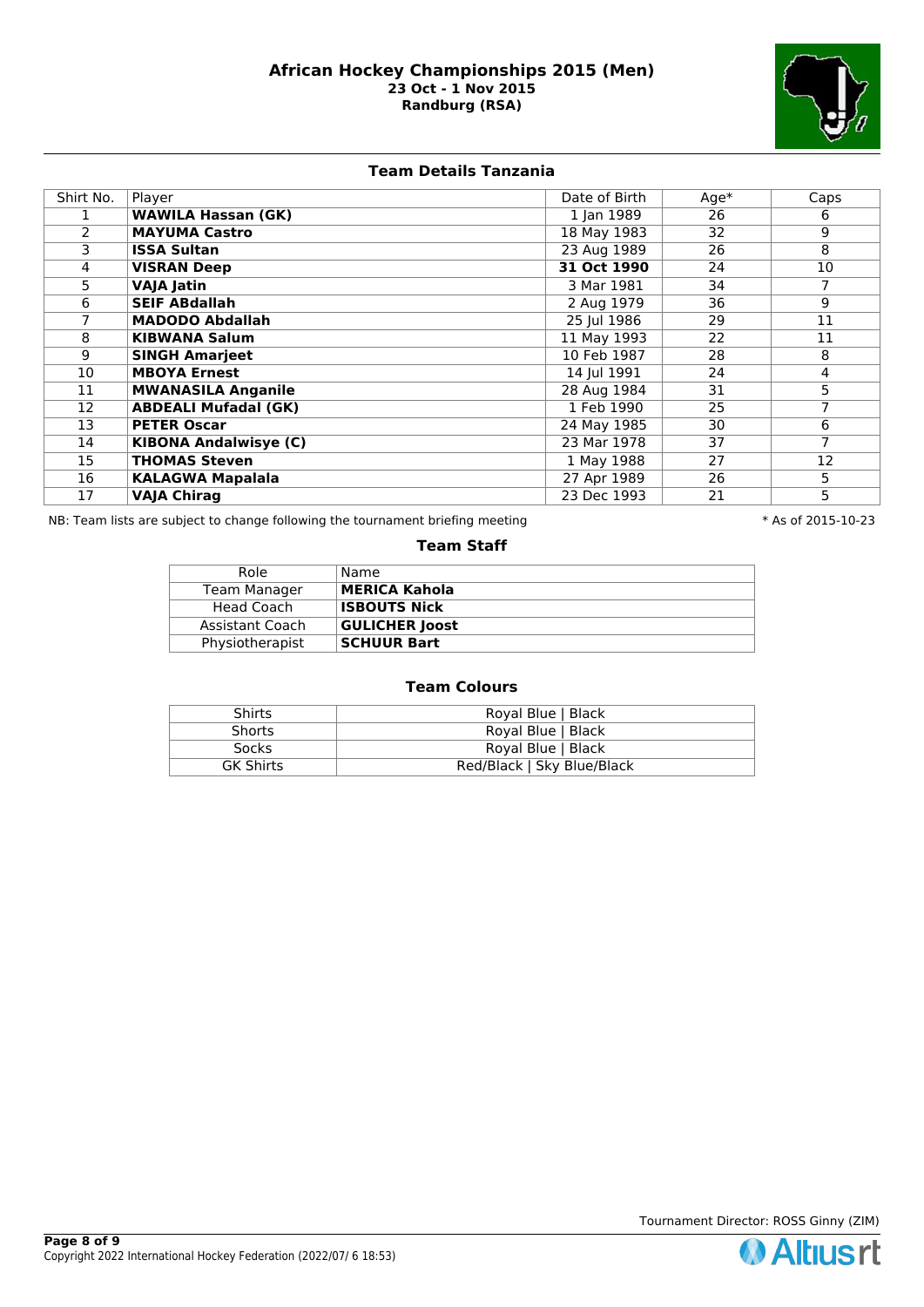

## **Team Details Tanzania**

| Shirt No. | Player                       | Date of Birth | $Age*$ | Caps           |
|-----------|------------------------------|---------------|--------|----------------|
|           | <b>WAWILA Hassan (GK)</b>    | 1 Jan 1989    | 26     | 6              |
| 2         | <b>MAYUMA Castro</b>         | 18 May 1983   | 32     | 9              |
| 3         | <b>ISSA Sultan</b>           | 23 Aug 1989   | 26     | 8              |
| 4         | <b>VISRAN Deep</b>           | 31 Oct 1990   | 24     | 10             |
| 5         | <b>VAJA Jatin</b>            | 3 Mar 1981    | 34     | 7              |
| 6         | <b>SEIF ABdallah</b>         | 2 Aug 1979    | 36     | 9              |
|           | <b>MADODO Abdallah</b>       | 25 Jul 1986   | 29     | 11             |
| 8         | <b>KIBWANA Salum</b>         | 11 May 1993   | 22     | 11             |
| 9         | <b>SINGH Amarjeet</b>        | 10 Feb 1987   | 28     | 8              |
| 10        | <b>MBOYA Ernest</b>          | 14 Jul 1991   | 24     | 4              |
| 11        | <b>MWANASILA Anganile</b>    | 28 Aug 1984   | 31     | 5 <sup>2</sup> |
| 12        | <b>ABDEALI Mufadal (GK)</b>  | 1 Feb 1990    | 25     | $\overline{7}$ |
| 13        | <b>PETER Oscar</b>           | 24 May 1985   | 30     | 6              |
| 14        | <b>KIBONA Andalwisye (C)</b> | 23 Mar 1978   | 37     | 7              |
| 15        | <b>THOMAS Steven</b>         | 1 May 1988    | 27     | 12             |
| 16        | <b>KALAGWA Mapalala</b>      | 27 Apr 1989   | 26     | 5              |
| 17        | <b>VAJA Chirag</b>           | 23 Dec 1993   | 21     | 5              |

NB: Team lists are subject to change following the tournament briefing meeting  $* A s$  of 2015-10-23

#### **Team Staff**

| Role            | Name                  |
|-----------------|-----------------------|
| Team Manager    | MERICA Kahola         |
| Head Coach      | <b>ISBOUTS Nick</b>   |
| Assistant Coach | <b>GULICHER Joost</b> |
| Physiotherapist | <b>SCHUUR Bart</b>    |

| <b>Shirts</b>    | Royal Blue   Black         |
|------------------|----------------------------|
| <b>Shorts</b>    | Royal Blue   Black         |
| Socks            | Royal Blue   Black         |
| <b>GK Shirts</b> | Red/Black   Sky Blue/Black |